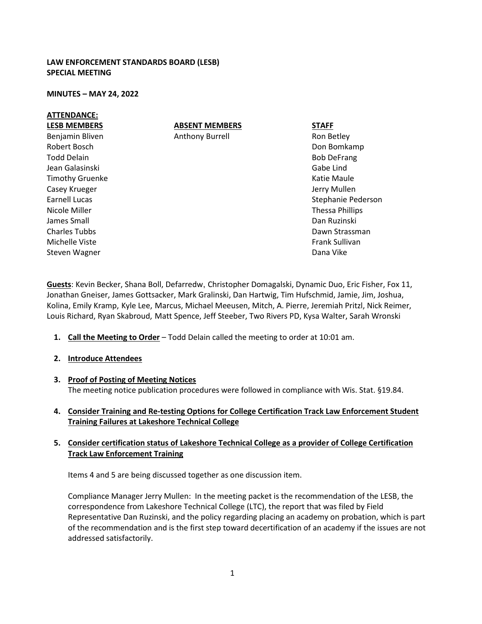## **LAW ENFORCEMENT STANDARDS BOARD (LESB) SPECIAL MEETING**

#### **MINUTES – MAY 24, 2022**

### **ATTENDANCE:**

# **ABSENT MEMBERS**

Anthony Burrell

**LESB MEMBERS** Benjamin Bliven Robert Bosch Todd Delain Jean Galasinski Timothy Gruenke Casey Krueger Earnell Lucas Nicole Miller James Small Charles Tubbs Michelle Viste Steven Wagner

Ron Betley Don Bomkamp Bob DeFrang Gabe Lind Katie Maule Jerry Mullen Stephanie Pederson Thessa Phillips Dan Ruzinski Dawn Strassman Frank Sullivan Dana Vike

**STAFF**

**Guests**: Kevin Becker, Shana Boll, Defarredw, Christopher Domagalski, Dynamic Duo, Eric Fisher, Fox 11, Jonathan Gneiser, James Gottsacker, Mark Gralinski, Dan Hartwig, Tim Hufschmid, Jamie, Jim, Joshua, Kolina, Emily Kramp, Kyle Lee, Marcus, Michael Meeusen, Mitch, A. Pierre, Jeremiah Pritzl, Nick Reimer, Louis Richard, Ryan Skabroud, Matt Spence, Jeff Steeber, Two Rivers PD, Kysa Walter, Sarah Wronski

- **1. Call the Meeting to Order** Todd Delain called the meeting to order at 10:01 am.
- **2. Introduce Attendees**
- **3. Proof of Posting of Meeting Notices** The meeting notice publication procedures were followed in compliance with Wis. Stat. §19.84.
- **4. Consider Training and Re-testing Options for College Certification Track Law Enforcement Student Training Failures at Lakeshore Technical College**

## **5. Consider certification status of Lakeshore Technical College as a provider of College Certification Track Law Enforcement Training**

Items 4 and 5 are being discussed together as one discussion item.

Compliance Manager Jerry Mullen: In the meeting packet is the recommendation of the LESB, the correspondence from Lakeshore Technical College (LTC), the report that was filed by Field Representative Dan Ruzinski, and the policy regarding placing an academy on probation, which is part of the recommendation and is the first step toward decertification of an academy if the issues are not addressed satisfactorily.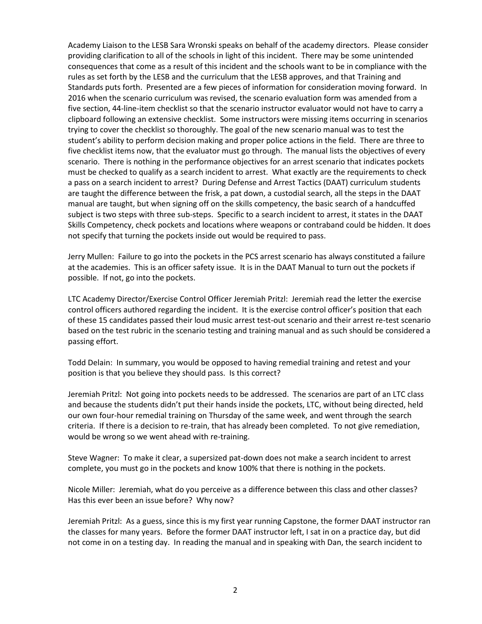Academy Liaison to the LESB Sara Wronski speaks on behalf of the academy directors. Please consider providing clarification to all of the schools in light of this incident. There may be some unintended consequences that come as a result of this incident and the schools want to be in compliance with the rules as set forth by the LESB and the curriculum that the LESB approves, and that Training and Standards puts forth. Presented are a few pieces of information for consideration moving forward. In 2016 when the scenario curriculum was revised, the scenario evaluation form was amended from a five section, 44-line-item checklist so that the scenario instructor evaluator would not have to carry a clipboard following an extensive checklist. Some instructors were missing items occurring in scenarios trying to cover the checklist so thoroughly. The goal of the new scenario manual was to test the student's ability to perform decision making and proper police actions in the field. There are three to five checklist items now, that the evaluator must go through. The manual lists the objectives of every scenario. There is nothing in the performance objectives for an arrest scenario that indicates pockets must be checked to qualify as a search incident to arrest. What exactly are the requirements to check a pass on a search incident to arrest? During Defense and Arrest Tactics (DAAT) curriculum students are taught the difference between the frisk, a pat down, a custodial search, all the steps in the DAAT manual are taught, but when signing off on the skills competency, the basic search of a handcuffed subject is two steps with three sub-steps. Specific to a search incident to arrest, it states in the DAAT Skills Competency, check pockets and locations where weapons or contraband could be hidden. It does not specify that turning the pockets inside out would be required to pass.

Jerry Mullen: Failure to go into the pockets in the PCS arrest scenario has always constituted a failure at the academies. This is an officer safety issue. It is in the DAAT Manual to turn out the pockets if possible. If not, go into the pockets.

LTC Academy Director/Exercise Control Officer Jeremiah Pritzl: Jeremiah read the letter the exercise control officers authored regarding the incident. It is the exercise control officer's position that each of these 15 candidates passed their loud music arrest test-out scenario and their arrest re-test scenario based on the test rubric in the scenario testing and training manual and as such should be considered a passing effort.

Todd Delain: In summary, you would be opposed to having remedial training and retest and your position is that you believe they should pass. Is this correct?

Jeremiah Pritzl: Not going into pockets needs to be addressed. The scenarios are part of an LTC class and because the students didn't put their hands inside the pockets, LTC, without being directed, held our own four-hour remedial training on Thursday of the same week, and went through the search criteria. If there is a decision to re-train, that has already been completed. To not give remediation, would be wrong so we went ahead with re-training.

Steve Wagner: To make it clear, a supersized pat-down does not make a search incident to arrest complete, you must go in the pockets and know 100% that there is nothing in the pockets.

Nicole Miller: Jeremiah, what do you perceive as a difference between this class and other classes? Has this ever been an issue before? Why now?

Jeremiah Pritzl: As a guess, since this is my first year running Capstone, the former DAAT instructor ran the classes for many years. Before the former DAAT instructor left, I sat in on a practice day, but did not come in on a testing day. In reading the manual and in speaking with Dan, the search incident to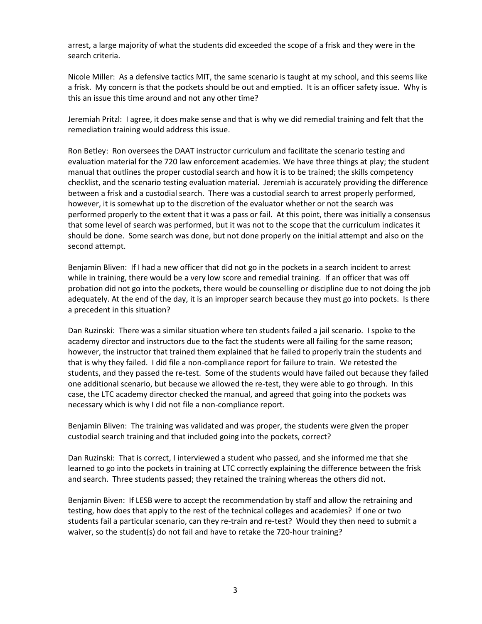arrest, a large majority of what the students did exceeded the scope of a frisk and they were in the search criteria.

Nicole Miller: As a defensive tactics MIT, the same scenario is taught at my school, and this seems like a frisk. My concern is that the pockets should be out and emptied. It is an officer safety issue. Why is this an issue this time around and not any other time?

Jeremiah Pritzl: I agree, it does make sense and that is why we did remedial training and felt that the remediation training would address this issue.

Ron Betley: Ron oversees the DAAT instructor curriculum and facilitate the scenario testing and evaluation material for the 720 law enforcement academies. We have three things at play; the student manual that outlines the proper custodial search and how it is to be trained; the skills competency checklist, and the scenario testing evaluation material. Jeremiah is accurately providing the difference between a frisk and a custodial search. There was a custodial search to arrest properly performed, however, it is somewhat up to the discretion of the evaluator whether or not the search was performed properly to the extent that it was a pass or fail. At this point, there was initially a consensus that some level of search was performed, but it was not to the scope that the curriculum indicates it should be done. Some search was done, but not done properly on the initial attempt and also on the second attempt.

Benjamin Bliven: If I had a new officer that did not go in the pockets in a search incident to arrest while in training, there would be a very low score and remedial training. If an officer that was off probation did not go into the pockets, there would be counselling or discipline due to not doing the job adequately. At the end of the day, it is an improper search because they must go into pockets. Is there a precedent in this situation?

Dan Ruzinski: There was a similar situation where ten students failed a jail scenario. I spoke to the academy director and instructors due to the fact the students were all failing for the same reason; however, the instructor that trained them explained that he failed to properly train the students and that is why they failed. I did file a non-compliance report for failure to train. We retested the students, and they passed the re-test. Some of the students would have failed out because they failed one additional scenario, but because we allowed the re-test, they were able to go through. In this case, the LTC academy director checked the manual, and agreed that going into the pockets was necessary which is why I did not file a non-compliance report.

Benjamin Bliven: The training was validated and was proper, the students were given the proper custodial search training and that included going into the pockets, correct?

Dan Ruzinski: That is correct, I interviewed a student who passed, and she informed me that she learned to go into the pockets in training at LTC correctly explaining the difference between the frisk and search. Three students passed; they retained the training whereas the others did not.

Benjamin Biven: If LESB were to accept the recommendation by staff and allow the retraining and testing, how does that apply to the rest of the technical colleges and academies? If one or two students fail a particular scenario, can they re-train and re-test? Would they then need to submit a waiver, so the student(s) do not fail and have to retake the 720-hour training?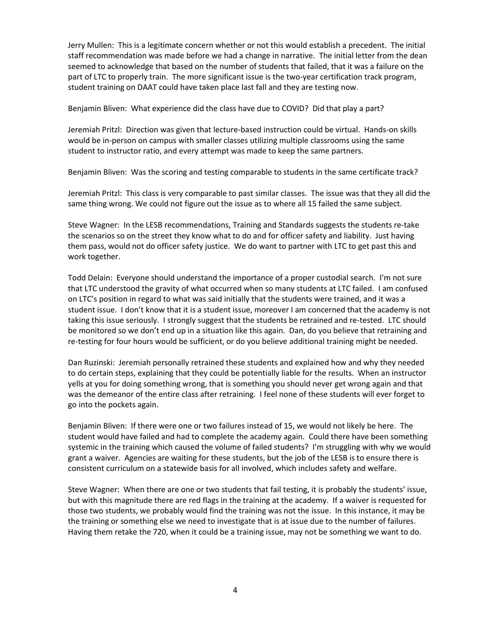Jerry Mullen: This is a legitimate concern whether or not this would establish a precedent. The initial staff recommendation was made before we had a change in narrative. The initial letter from the dean seemed to acknowledge that based on the number of students that failed, that it was a failure on the part of LTC to properly train. The more significant issue is the two-year certification track program, student training on DAAT could have taken place last fall and they are testing now.

Benjamin Bliven: What experience did the class have due to COVID? Did that play a part?

Jeremiah Pritzl: Direction was given that lecture-based instruction could be virtual. Hands-on skills would be in-person on campus with smaller classes utilizing multiple classrooms using the same student to instructor ratio, and every attempt was made to keep the same partners.

Benjamin Bliven: Was the scoring and testing comparable to students in the same certificate track?

Jeremiah Pritzl: This class is very comparable to past similar classes. The issue was that they all did the same thing wrong. We could not figure out the issue as to where all 15 failed the same subject.

Steve Wagner: In the LESB recommendations, Training and Standards suggests the students re-take the scenarios so on the street they know what to do and for officer safety and liability. Just having them pass, would not do officer safety justice. We do want to partner with LTC to get past this and work together.

Todd Delain: Everyone should understand the importance of a proper custodial search. I'm not sure that LTC understood the gravity of what occurred when so many students at LTC failed. I am confused on LTC's position in regard to what was said initially that the students were trained, and it was a student issue. I don't know that it is a student issue, moreover I am concerned that the academy is not taking this issue seriously. I strongly suggest that the students be retrained and re-tested. LTC should be monitored so we don't end up in a situation like this again. Dan, do you believe that retraining and re-testing for four hours would be sufficient, or do you believe additional training might be needed.

Dan Ruzinski: Jeremiah personally retrained these students and explained how and why they needed to do certain steps, explaining that they could be potentially liable for the results. When an instructor yells at you for doing something wrong, that is something you should never get wrong again and that was the demeanor of the entire class after retraining. I feel none of these students will ever forget to go into the pockets again.

Benjamin Bliven: If there were one or two failures instead of 15, we would not likely be here. The student would have failed and had to complete the academy again. Could there have been something systemic in the training which caused the volume of failed students? I'm struggling with why we would grant a waiver. Agencies are waiting for these students, but the job of the LESB is to ensure there is consistent curriculum on a statewide basis for all involved, which includes safety and welfare.

Steve Wagner: When there are one or two students that fail testing, it is probably the students' issue, but with this magnitude there are red flags in the training at the academy. If a waiver is requested for those two students, we probably would find the training was not the issue. In this instance, it may be the training or something else we need to investigate that is at issue due to the number of failures. Having them retake the 720, when it could be a training issue, may not be something we want to do.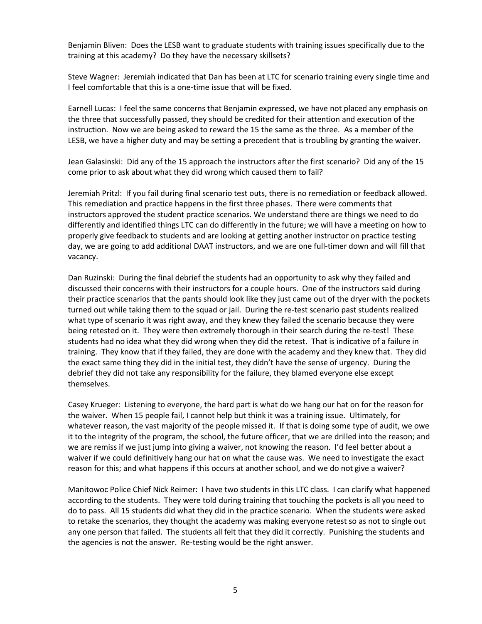Benjamin Bliven: Does the LESB want to graduate students with training issues specifically due to the training at this academy? Do they have the necessary skillsets?

Steve Wagner: Jeremiah indicated that Dan has been at LTC for scenario training every single time and I feel comfortable that this is a one-time issue that will be fixed.

Earnell Lucas: I feel the same concerns that Benjamin expressed, we have not placed any emphasis on the three that successfully passed, they should be credited for their attention and execution of the instruction. Now we are being asked to reward the 15 the same as the three. As a member of the LESB, we have a higher duty and may be setting a precedent that is troubling by granting the waiver.

Jean Galasinski: Did any of the 15 approach the instructors after the first scenario? Did any of the 15 come prior to ask about what they did wrong which caused them to fail?

Jeremiah Pritzl: If you fail during final scenario test outs, there is no remediation or feedback allowed. This remediation and practice happens in the first three phases. There were comments that instructors approved the student practice scenarios. We understand there are things we need to do differently and identified things LTC can do differently in the future; we will have a meeting on how to properly give feedback to students and are looking at getting another instructor on practice testing day, we are going to add additional DAAT instructors, and we are one full-timer down and will fill that vacancy.

Dan Ruzinski: During the final debrief the students had an opportunity to ask why they failed and discussed their concerns with their instructors for a couple hours. One of the instructors said during their practice scenarios that the pants should look like they just came out of the dryer with the pockets turned out while taking them to the squad or jail. During the re-test scenario past students realized what type of scenario it was right away, and they knew they failed the scenario because they were being retested on it. They were then extremely thorough in their search during the re-test! These students had no idea what they did wrong when they did the retest. That is indicative of a failure in training. They know that if they failed, they are done with the academy and they knew that. They did the exact same thing they did in the initial test, they didn't have the sense of urgency. During the debrief they did not take any responsibility for the failure, they blamed everyone else except themselves.

Casey Krueger: Listening to everyone, the hard part is what do we hang our hat on for the reason for the waiver. When 15 people fail, I cannot help but think it was a training issue. Ultimately, for whatever reason, the vast majority of the people missed it. If that is doing some type of audit, we owe it to the integrity of the program, the school, the future officer, that we are drilled into the reason; and we are remiss if we just jump into giving a waiver, not knowing the reason. I'd feel better about a waiver if we could definitively hang our hat on what the cause was. We need to investigate the exact reason for this; and what happens if this occurs at another school, and we do not give a waiver?

Manitowoc Police Chief Nick Reimer: I have two students in this LTC class. I can clarify what happened according to the students. They were told during training that touching the pockets is all you need to do to pass. All 15 students did what they did in the practice scenario. When the students were asked to retake the scenarios, they thought the academy was making everyone retest so as not to single out any one person that failed. The students all felt that they did it correctly. Punishing the students and the agencies is not the answer. Re-testing would be the right answer.